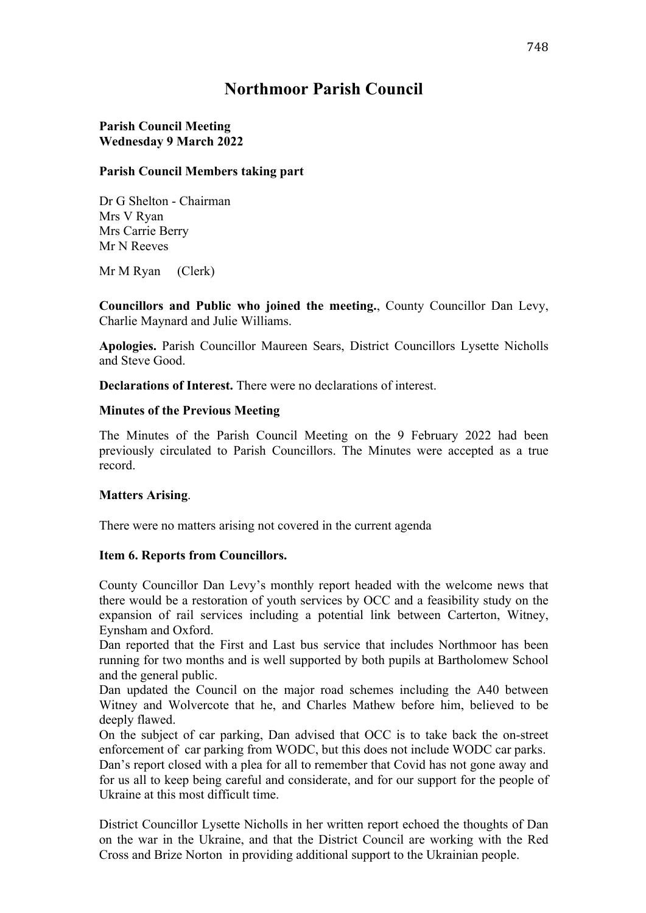## **Northmoor Parish Council**

## **Parish Council Meeting Wednesday 9 March 2022**

## **Parish Council Members taking part**

Dr G Shelton - Chairman Mrs V Ryan Mrs Carrie Berry Mr N Reeves

Mr M Ryan (Clerk)

**Councillors and Public who joined the meeting.**, County Councillor Dan Levy, Charlie Maynard and Julie Williams.

**Apologies.** Parish Councillor Maureen Sears, District Councillors Lysette Nicholls and Steve Good.

**Declarations of Interest.** There were no declarations of interest.

#### **Minutes of the Previous Meeting**

The Minutes of the Parish Council Meeting on the 9 February 2022 had been previously circulated to Parish Councillors. The Minutes were accepted as a true record.

#### **Matters Arising**.

There were no matters arising not covered in the current agenda

#### **Item 6. Reports from Councillors.**

County Councillor Dan Levy's monthly report headed with the welcome news that there would be a restoration of youth services by OCC and a feasibility study on the expansion of rail services including a potential link between Carterton, Witney, Eynsham and Oxford.

Dan reported that the First and Last bus service that includes Northmoor has been running for two months and is well supported by both pupils at Bartholomew School and the general public.

Dan updated the Council on the major road schemes including the A40 between Witney and Wolvercote that he, and Charles Mathew before him, believed to be deeply flawed.

On the subject of car parking, Dan advised that OCC is to take back the on-street enforcement of car parking from WODC, but this does not include WODC car parks. Dan's report closed with a plea for all to remember that Covid has not gone away and for us all to keep being careful and considerate, and for our support for the people of Ukraine at this most difficult time.

District Councillor Lysette Nicholls in her written report echoed the thoughts of Dan on the war in the Ukraine, and that the District Council are working with the Red Cross and Brize Norton in providing additional support to the Ukrainian people.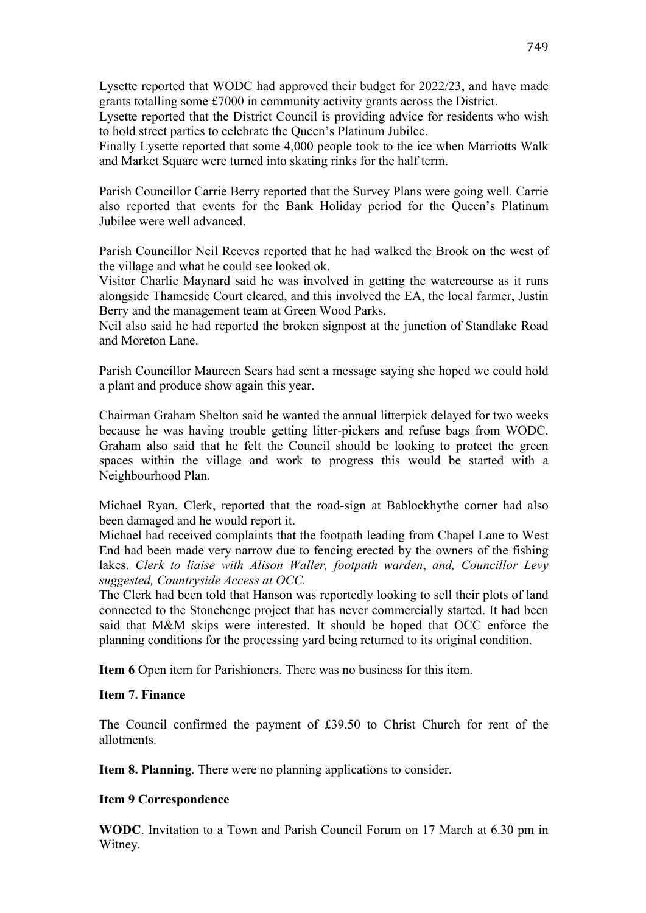Lysette reported that WODC had approved their budget for 2022/23, and have made grants totalling some £7000 in community activity grants across the District.

Lysette reported that the District Council is providing advice for residents who wish to hold street parties to celebrate the Queen's Platinum Jubilee.

Finally Lysette reported that some 4,000 people took to the ice when Marriotts Walk and Market Square were turned into skating rinks for the half term.

Parish Councillor Carrie Berry reported that the Survey Plans were going well. Carrie also reported that events for the Bank Holiday period for the Queen's Platinum Jubilee were well advanced.

Parish Councillor Neil Reeves reported that he had walked the Brook on the west of the village and what he could see looked ok.

Visitor Charlie Maynard said he was involved in getting the watercourse as it runs alongside Thameside Court cleared, and this involved the EA, the local farmer, Justin Berry and the management team at Green Wood Parks.

Neil also said he had reported the broken signpost at the junction of Standlake Road and Moreton Lane.

Parish Councillor Maureen Sears had sent a message saying she hoped we could hold a plant and produce show again this year.

Chairman Graham Shelton said he wanted the annual litterpick delayed for two weeks because he was having trouble getting litter-pickers and refuse bags from WODC. Graham also said that he felt the Council should be looking to protect the green spaces within the village and work to progress this would be started with a Neighbourhood Plan.

Michael Ryan, Clerk, reported that the road-sign at Bablockhythe corner had also been damaged and he would report it.

Michael had received complaints that the footpath leading from Chapel Lane to West End had been made very narrow due to fencing erected by the owners of the fishing lakes. *Clerk to liaise with Alison Waller, footpath warden*, *and, Councillor Levy suggested, Countryside Access at OCC.*

The Clerk had been told that Hanson was reportedly looking to sell their plots of land connected to the Stonehenge project that has never commercially started. It had been said that M&M skips were interested. It should be hoped that OCC enforce the planning conditions for the processing yard being returned to its original condition.

**Item 6** Open item for Parishioners. There was no business for this item.

#### **Item 7. Finance**

The Council confirmed the payment of £39.50 to Christ Church for rent of the allotments.

**Item 8. Planning**. There were no planning applications to consider.

#### **Item 9 Correspondence**

**WODC**. Invitation to a Town and Parish Council Forum on 17 March at 6.30 pm in Witney.